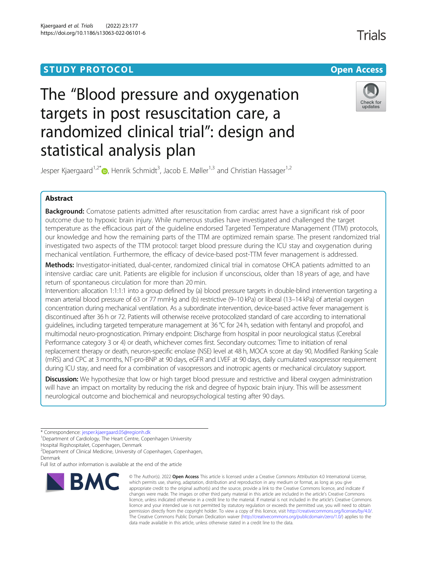# **STUDY PROTOCOL CONSUMING THE RESERVE ACCESS**



Trials

# The "Blood pressure and oxygenation targets in post resuscitation care, a randomized clinical trial": design and statistical analysis plan

Jesper Kjaergaard<sup>1,2\*</sup>®, Henrik Schmidt<sup>3</sup>, Jacob E. Møller<sup>1,3</sup> and Christian Hassager<sup>1,2</sup>

# Abstract

Background: Comatose patients admitted after resuscitation from cardiac arrest have a significant risk of poor outcome due to hypoxic brain injury. While numerous studies have investigated and challenged the target temperature as the efficacious part of the guideline endorsed Targeted Temperature Management (TTM) protocols, our knowledge and how the remaining parts of the TTM are optimized remain sparse. The present randomized trial investigated two aspects of the TTM protocol: target blood pressure during the ICU stay and oxygenation during mechanical ventilation. Furthermore, the efficacy of device-based post-TTM fever management is addressed.

Methods: Investigator-initiated, dual-center, randomized clinical trial in comatose OHCA patients admitted to an intensive cardiac care unit. Patients are eligible for inclusion if unconscious, older than 18 years of age, and have return of spontaneous circulation for more than 20 min.

Intervention: allocation 1:1:1:1 into a group defined by (a) blood pressure targets in double-blind intervention targeting a mean arterial blood pressure of 63 or 77 mmHg and (b) restrictive (9–10 kPa) or liberal (13–14 kPa) of arterial oxygen concentration during mechanical ventilation. As a subordinate intervention, device-based active fever management is discontinued after 36 h or 72. Patients will otherwise receive protocolized standard of care according to international guidelines, including targeted temperature management at 36 °C for 24 h, sedation with fentanyl and propofol, and multimodal neuro-prognostication. Primary endpoint: Discharge from hospital in poor neurological status (Cerebral Performance category 3 or 4) or death, whichever comes first. Secondary outcomes: Time to initiation of renal replacement therapy or death, neuron-specific enolase (NSE) level at 48 h, MOCA score at day 90, Modified Ranking Scale (mRS) and CPC at 3 months, NT-pro-BNP at 90 days, eGFR and LVEF at 90 days, daily cumulated vasopressor requirement during ICU stay, and need for a combination of vasopressors and inotropic agents or mechanical circulatory support.

Discussion: We hypothesize that low or high target blood pressure and restrictive and liberal oxygen administration will have an impact on mortality by reducing the risk and degree of hypoxic brain injury. This will be assessment neurological outcome and biochemical and neuropsychological testing after 90 days.

\* Correspondence: [jesper.kjaergaard.05@regionh.dk](mailto:jesper.kjaergaard.05@regionh.dk) <sup>1</sup>

<sup>1</sup>Department of Cardiology, The Heart Centre, Copenhagen University Hospital Rigshospitalet, Copenhagen, Denmark

<sup>2</sup> Department of Clinical Medicine, University of Copenhagen, Copenhagen, Denmark

Full list of author information is available at the end of the article



<sup>©</sup> The Author(s), 2022 **Open Access** This article is licensed under a Creative Commons Attribution 4.0 International License, which permits use, sharing, adaptation, distribution and reproduction in any medium or format, as long as you give appropriate credit to the original author(s) and the source, provide a link to the Creative Commons licence, and indicate if changes were made. The images or other third party material in this article are included in the article's Creative Commons licence, unless indicated otherwise in a credit line to the material. If material is not included in the article's Creative Commons licence and your intended use is not permitted by statutory regulation or exceeds the permitted use, you will need to obtain permission directly from the copyright holder. To view a copy of this licence, visit [http://creativecommons.org/licenses/by/4.0/.](http://creativecommons.org/licenses/by/4.0/) The Creative Commons Public Domain Dedication waiver [\(http://creativecommons.org/publicdomain/zero/1.0/](http://creativecommons.org/publicdomain/zero/1.0/)) applies to the data made available in this article, unless otherwise stated in a credit line to the data.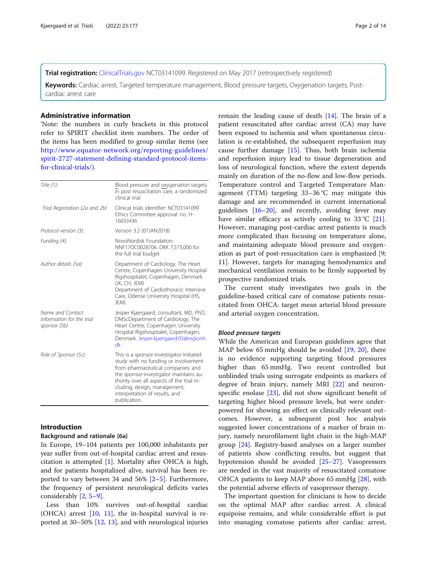Trial registration: [ClinicalTrials.gov](http://clinicaltrials.gov) NCT03141099. Registered on May 2017 (retrospectively registered)

Keywords: Cardiac arrest, Targeted temperature management, Blood pressure targets, Oxygenation targets, Postcardiac arrest care

# Administrative information

'Note: the numbers in curly brackets in this protocol refer to SPIRIT checklist item numbers. The order of the items has been modified to group similar items (see [http://www.equator-network.org/reporting-guidelines/](http://www.equator-network.org/reporting-guidelines/spirit-2727-statement-defining-standard-protocol-items-for-clinical-trials/) [spirit-2727-statement-defining-standard-protocol-items](http://www.equator-network.org/reporting-guidelines/spirit-2727-statement-defining-standard-protocol-items-for-clinical-trials/)[for-clinical-trials/](http://www.equator-network.org/reporting-guidelines/spirit-2727-statement-defining-standard-protocol-items-for-clinical-trials/)).

| Title {1}:                                                    | Blood pressure and oxygenation targets<br>in post resuscitation care, a randomized<br>clinical trial                                                                                                                                                                                            |
|---------------------------------------------------------------|-------------------------------------------------------------------------------------------------------------------------------------------------------------------------------------------------------------------------------------------------------------------------------------------------|
| Trial Registration {2a and 2b}                                | Clinical trials identifier: NCT03141099<br>Ethics Committee approval: no. H-<br>16033436                                                                                                                                                                                                        |
| Protocol version {3}:                                         | Version 3.2 (07JAN2018)                                                                                                                                                                                                                                                                         |
| Funding {4}:                                                  | NovoNordisk Foundation:<br>NNF17OC0028706. DKK 7,573,000 for<br>the full trial budget                                                                                                                                                                                                           |
| Author details {5a}:                                          | Department of Cardiology, The Heart<br>Centre, Copenhagen University Hospital<br>Rigshospitalet, Copenhagen, Denmark<br>(JK, CH, JEM)<br>Department of Cardiothoracic Intensive<br>Care, Odense University Hospital (HS,<br>JEM)                                                                |
| Name and Contact<br>information for the trial<br>sponsor {5b} | Jesper Kjaergaard, consultant, MD, PhD,<br>DMScDepartment of Cardiology, The<br>Heart Centre, Copenhagen University<br>Hospital Rigshospitalet, Copenhagen,<br>Denmark. Jesper.kjaergaard.05@regionh.<br>dk                                                                                     |
| Role of Sponsor {5c}:                                         | This is a sponsor-investigator-initiated<br>study with no funding or involvement<br>from pharmaceutical companies, and<br>the sponsor-investigator maintains au-<br>thority over all aspects of the trial in-<br>cluding, design, management,<br>interpretation of results, and<br>publication. |

# Introduction

# Background and rationale {6a}

In Europe, 19–104 patients per 100,000 inhabitants per year suffer from out-of-hospital cardiac arrest and resuscitation is attempted  $[1]$  $[1]$  $[1]$ . Mortality after OHCA is high, and for patients hospitalized alive, survival has been reported to vary between 34 and 56% [[2](#page-12-0)–[5\]](#page-12-0). Furthermore, the frequency of persistent neurological deficits varies considerably [[2,](#page-12-0) [5](#page-12-0)–[9\]](#page-12-0).

Less than 10% survives out-of-hospital cardiac (OHCA) arrest  $[10, 11]$  $[10, 11]$  $[10, 11]$  $[10, 11]$ , the in-hospital survival is reported at 30–50% [\[12](#page-12-0), [13](#page-12-0)], and with neurological injuries remain the leading cause of death [[14\]](#page-12-0). The brain of a patient resuscitated after cardiac arrest (CA) may have been exposed to ischemia and when spontaneous circulation is re-established, the subsequent reperfusion may cause further damage [[15\]](#page-12-0). Thus, both brain ischemia and reperfusion injury lead to tissue degeneration and loss of neurological function, where the extent depends mainly on duration of the no-flow and low-flow periods. Temperature control and Targeted Temperature Management (TTM) targeting 33–36 °C may mitigate this damage and are recommended in current international guidelines  $[16–20]$  $[16–20]$  $[16–20]$ , and recently, avoiding fever may have similar efficacy as actively cooling to  $33^{\circ}C$  [\[21](#page-12-0)]. However, managing post-cardiac arrest patients is much more complicated than focusing on temperature alone, and maintaining adequate blood pressure and oxygenation as part of post-resuscitation care is emphasized [9; 11]. However, targets for managing hemodynamics and mechanical ventilation remain to be firmly supported by prospective randomized trials.

The current study investigates two goals in the guideline-based critical care of comatose patients resuscitated from OHCA: target mean arterial blood pressure and arterial oxygen concentration.

#### Blood pressure targets

While the American and European guidelines agree that MAP below 65 mmHg should be avoided [\[19](#page-12-0), [20\]](#page-12-0), there is no evidence supporting targeting blood pressures higher than 65 mmHg. Two recent controlled but unblinded trials using surrogate endpoints as markers of degree of brain injury, namely MRI [[22](#page-12-0)] and neuronspecific enolase [[23](#page-12-0)], did not show significant benefit of targeting higher blood pressure levels, but were underpowered for showing an effect on clinically relevant outcomes. However, a subsequent post hoc analysis suggested lower concentrations of a marker of brain injury, namely neurofilament light chain in the high-MAP group [[24\]](#page-12-0). Registry-based analyses on a larger number of patients show conflicting results, but suggest that hypotension should be avoided [[25](#page-12-0)–[27](#page-12-0)]. Vasopressors are needed in the vast majority of resuscitated comatose OHCA patients to keep MAP above 65 mmHg [[28](#page-12-0)], with the potential adverse effects of vasopressor therapy.

The important question for clinicians is how to decide on the optimal MAP after cardiac arrest. A clinical equipoise remains, and while considerable effort is put into managing comatose patients after cardiac arrest,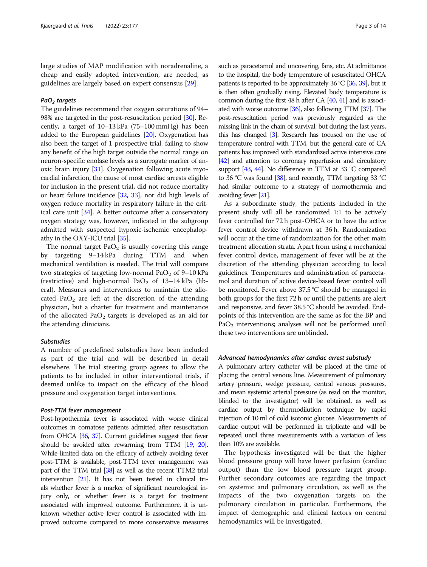large studies of MAP modification with noradrenaline, a cheap and easily adopted intervention, are needed, as guidelines are largely based on expert consensus [[29\]](#page-13-0).

### PaO<sub>2</sub> targets

The guidelines recommend that oxygen saturations of 94– 98% are targeted in the post-resuscitation period [\[30\]](#page-13-0). Recently, a target of 10–13 kPa (75–100 mmHg) has been added to the European guidelines [\[20\]](#page-12-0). Oxygenation has also been the target of 1 prospective trial, failing to show any benefit of the high target outside the normal range on neuron-specific enolase levels as a surrogate marker of anoxic brain injury  $[31]$ . Oxygenation following acute myocardial infarction, the cause of most cardiac arrests eligible for inclusion in the present trial, did not reduce mortality or heart failure incidence [\[32,](#page-13-0) [33](#page-13-0)], nor did high levels of oxygen reduce mortality in respiratory failure in the critical care unit [\[34\]](#page-13-0). A better outcome after a conservatory oxygen strategy was, however, indicated in the subgroup admitted with suspected hypoxic-ischemic encephalopathy in the OXY-ICU trial [[35](#page-13-0)].

The normal target  $PaO<sub>2</sub>$  is usually covering this range by targeting 9–14 kPa during TTM and when mechanical ventilation is needed. The trial will compare two strategies of targeting low-normal PaO<sub>2</sub> of 9-10 kPa (restrictive) and high-normal PaO<sub>2</sub> of  $13-14$  kPa (liberal). Measures and interventions to maintain the allocated PaO<sub>2</sub> are left at the discretion of the attending physician, but a charter for treatment and maintenance of the allocated  $PaO<sub>2</sub>$  targets is developed as an aid for the attending clinicians.

# Substudies

A number of predefined substudies have been included as part of the trial and will be described in detail elsewhere. The trial steering group agrees to allow the patients to be included in other interventional trials, if deemed unlike to impact on the efficacy of the blood pressure and oxygenation target interventions.

#### Post-TTM fever management

Post-hypothermia fever is associated with worse clinical outcomes in comatose patients admitted after resuscitation from OHCA [\[36,](#page-13-0) [37](#page-13-0)]. Current guidelines suggest that fever should be avoided after rewarming from TTM [\[19,](#page-12-0) [20\]](#page-12-0). While limited data on the efficacy of actively avoiding fever post-TTM is available, post-TTM fever management was part of the TTM trial [\[38\]](#page-13-0) as well as the recent TTM2 trial intervention [[21\]](#page-12-0). It has not been tested in clinical trials whether fever is a marker of significant neurological injury only, or whether fever is a target for treatment associated with improved outcome. Furthermore, it is unknown whether active fever control is associated with improved outcome compared to more conservative measures such as paracetamol and uncovering, fans, etc. At admittance to the hospital, the body temperature of resuscitated OHCA patients is reported to be approximately 36 °C [[36,](#page-13-0) [39\]](#page-13-0), but it is then often gradually rising. Elevated body temperature is common during the first 48 h after CA [\[40](#page-13-0), [41\]](#page-13-0) and is associated with worse outcome [\[36\]](#page-13-0), also following TTM [\[37](#page-13-0)]. The post-resuscitation period was previously regarded as the missing link in the chain of survival, but during the last years, this has changed [\[3\]](#page-12-0). Research has focused on the use of temperature control with TTM, but the general care of CA patients has improved with standardized active intensive care [[42\]](#page-13-0) and attention to coronary reperfusion and circulatory support [\[43,](#page-13-0) [44](#page-13-0)]. No difference in TTM at 33 °C compared to 36 °C was found [\[38](#page-13-0)], and recently, TTM targeting 33 °C had similar outcome to a strategy of normothermia and avoiding fever [\[21\]](#page-12-0).

As a subordinate study, the patients included in the present study will all be randomized 1:1 to be actively fever controlled for 72 h post-OHCA or to have the active fever control device withdrawn at 36 h. Randomization will occur at the time of randomization for the other main treatment allocation strata. Apart from using a mechanical fever control device, management of fever will be at the discretion of the attending physician according to local guidelines. Temperatures and administration of paracetamol and duration of active device-based fever control will be monitored. Fever above 37.5 °C should be managed in both groups for the first 72 h or until the patients are alert and responsive, and fever 38.5 °C should be avoided. Endpoints of this intervention are the same as for the BP and PaO<sub>2</sub> interventions; analyses will not be performed until these two interventions are unblinded.

#### Advanced hemodynamics after cardiac arrest substudy

A pulmonary artery catheter will be placed at the time of placing the central venous line. Measurement of pulmonary artery pressure, wedge pressure, central venous pressures, and mean systemic arterial pressure (as read on the monitor, blinded to the investigator) will be obtained, as well as cardiac output by thermodilution technique by rapid injection of 10 ml of cold isotonic glucose. Measurements of cardiac output will be performed in triplicate and will be repeated until three measurements with a variation of less than 10% are available.

The hypothesis investigated will be that the higher blood pressure group will have lower perfusion (cardiac output) than the low blood pressure target group. Further secondary outcomes are regarding the impact on systemic and pulmonary circulation, as well as the impacts of the two oxygenation targets on the pulmonary circulation in particular. Furthermore, the impact of demographic and clinical factors on central hemodynamics will be investigated.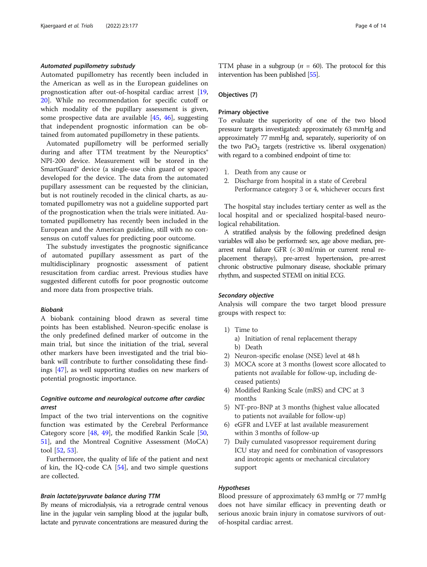# Automated pupillometry substudy

Automated pupillometry has recently been included in the American as well as in the European guidelines on prognostication after out-of-hospital cardiac arrest [[19](#page-12-0), [20\]](#page-12-0). While no recommendation for specific cutoff or which modality of the pupillary assessment is given, some prospective data are available [[45,](#page-13-0) [46\]](#page-13-0), suggesting that independent prognostic information can be obtained from automated pupillometry in these patients.

Automated pupillometry will be performed serially during and after TTM treatment by the Neuroptics® NPI-200 device. Measurement will be stored in the SmartGuard® device (a single-use chin guard or spacer) developed for the device. The data from the automated pupillary assessment can be requested by the clinician, but is not routinely recoded in the clinical charts, as automated pupillometry was not a guideline supported part of the prognostication when the trials were initiated. Automated pupillometry has recently been included in the European and the American guideline, still with no consensus on cutoff values for predicting poor outcome.

The substudy investigates the prognostic significance of automated pupillary assessment as part of the multidisciplinary prognostic assessment of patient resuscitation from cardiac arrest. Previous studies have suggested different cutoffs for poor prognostic outcome and more data from prospective trials.

## Biobank

A biobank containing blood drawn as several time points has been established. Neuron-specific enolase is the only predefined defined marker of outcome in the main trial, but since the initiation of the trial, several other markers have been investigated and the trial biobank will contribute to further consolidating these findings [\[47\]](#page-13-0), as well supporting studies on new markers of potential prognostic importance.

# Cognitive outcome and neurological outcome after cardiac arrest

Impact of the two trial interventions on the cognitive function was estimated by the Cerebral Performance Category score [[48,](#page-13-0) [49\]](#page-13-0), the modified Rankin Scale [[50](#page-13-0), [51\]](#page-13-0), and the Montreal Cognitive Assessment (MoCA) tool [[52,](#page-13-0) [53](#page-13-0)].

Furthermore, the quality of life of the patient and next of kin, the IQ-code CA [\[54](#page-13-0)], and two simple questions are collected.

#### Brain lactate/pyruvate balance during TTM

By means of microdialysis, via a retrograde central venous line in the jugular vein sampling blood at the jugular bulb, lactate and pyruvate concentrations are measured during the TTM phase in a subgroup ( $n = 60$ ). The protocol for this intervention has been published [\[55](#page-13-0)].

# Objectives {7}

# Primary objective

To evaluate the superiority of one of the two blood pressure targets investigated: approximately 63 mmHg and approximately 77 mmHg and, separately, superiority of on the two  $PaO<sub>2</sub>$  targets (restrictive vs. liberal oxygenation) with regard to a combined endpoint of time to:

- 1. Death from any cause or
- 2. Discharge from hospital in a state of Cerebral Performance category 3 or 4, whichever occurs first

The hospital stay includes tertiary center as well as the local hospital and or specialized hospital-based neurological rehabilitation.

A stratified analysis by the following predefined design variables will also be performed: sex, age above median, prearrest renal failure GFR (< 30 ml/min or current renal replacement therapy), pre-arrest hypertension, pre-arrest chronic obstructive pulmonary disease, shockable primary rhythm, and suspected STEMI on initial ECG.

#### Secondary objective

Analysis will compare the two target blood pressure groups with respect to:

- 1) Time to
	- a) Initiation of renal replacement therapy b) Death
- 2) Neuron-specific enolase (NSE) level at 48 h
- 3) MOCA score at 3 months (lowest score allocated to patients not available for follow-up, including deceased patients)
- 4) Modified Ranking Scale (mRS) and CPC at 3 months
- 5) NT-pro-BNP at 3 months (highest value allocated to patients not available for follow-up)
- 6) eGFR and LVEF at last available measurement within 3 months of follow-up
- 7) Daily cumulated vasopressor requirement during ICU stay and need for combination of vasopressors and inotropic agents or mechanical circulatory support

# Hypotheses

Blood pressure of approximately 63 mmHg or 77 mmHg does not have similar efficacy in preventing death or serious anoxic brain injury in comatose survivors of outof-hospital cardiac arrest.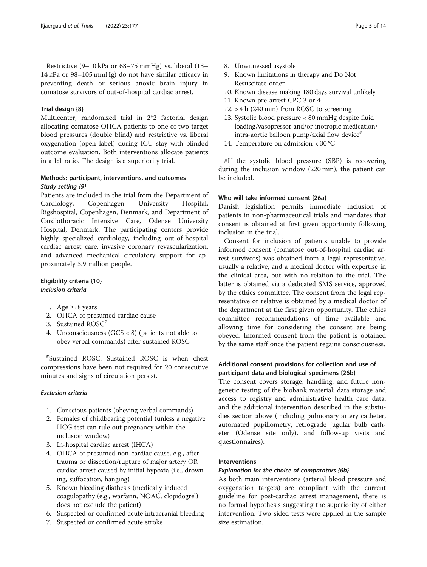Restrictive (9–10 kPa or 68–75 mmHg) vs. liberal (13– 14 kPa or 98–105 mmHg) do not have similar efficacy in preventing death or serious anoxic brain injury in comatose survivors of out-of-hospital cardiac arrest.

#### Trial design {8}

Multicenter, randomized trial in 2\*2 factorial design allocating comatose OHCA patients to one of two target blood pressures (double blind) and restrictive vs. liberal oxygenation (open label) during ICU stay with blinded outcome evaluation. Both interventions allocate patients in a 1:1 ratio. The design is a superiority trial.

# Methods: participant, interventions, and outcomes Study setting {9}

Patients are included in the trial from the Department of Cardiology, Copenhagen University Hospital, Rigshospital, Copenhagen, Denmark, and Department of Cardiothoracic Intensive Care, Odense University Hospital, Denmark. The participating centers provide highly specialized cardiology, including out-of-hospital cardiac arrest care, invasive coronary revascularization, and advanced mechanical circulatory support for approximately 3.9 million people.

# Eligibility criteria {10} Inclusion criteria

- 1. Age ≥18 years
- 2. OHCA of presumed cardiac cause
- 3. Sustained ROSC#
- 4. Unconsciousness (GCS < 8) (patients not able to obey verbal commands) after sustained ROSC

# Sustained ROSC: Sustained ROSC is when chest compressions have been not required for 20 consecutive minutes and signs of circulation persist.

## Exclusion criteria

- 1. Conscious patients (obeying verbal commands)
- 2. Females of childbearing potential (unless a negative HCG test can rule out pregnancy within the inclusion window)
- 3. In-hospital cardiac arrest (IHCA)
- 4. OHCA of presumed non-cardiac cause, e.g., after trauma or dissection/rupture of major artery OR cardiac arrest caused by initial hypoxia (i.e., drowning, suffocation, hanging)
- 5. Known bleeding diathesis (medically induced coagulopathy (e.g., warfarin, NOAC, clopidogrel) does not exclude the patient)
- 6. Suspected or confirmed acute intracranial bleeding
- 7. Suspected or confirmed acute stroke
- 8. Unwitnessed asystole
- 9. Known limitations in therapy and Do Not Resuscitate-order
- 10. Known disease making 180 days survival unlikely
- 11. Known pre-arrest CPC 3 or 4
- 12. > 4 h (240 min) from ROSC to screening
- 13. Systolic blood pressure < 80 mmHg despite fluid loading/vasopressor and/or inotropic medication/ intra-aortic balloon pump/axial flow device<sup>#</sup>
- 14. Temperature on admission < 30 °C

#If the systolic blood pressure (SBP) is recovering during the inclusion window (220 min), the patient can be included.

# Who will take informed consent {26a}

Danish legislation permits immediate inclusion of patients in non-pharmaceutical trials and mandates that consent is obtained at first given opportunity following inclusion in the trial.

Consent for inclusion of patients unable to provide informed consent (comatose out-of-hospital cardiac arrest survivors) was obtained from a legal representative, usually a relative, and a medical doctor with expertise in the clinical area, but with no relation to the trial. The latter is obtained via a dedicated SMS service, approved by the ethics committee. The consent from the legal representative or relative is obtained by a medical doctor of the department at the first given opportunity. The ethics committee recommendations of time available and allowing time for considering the consent are being obeyed. Informed consent from the patient is obtained by the same staff once the patient regains consciousness.

# Additional consent provisions for collection and use of participant data and biological specimens {26b}

The consent covers storage, handling, and future nongenetic testing of the biobank material; data storage and access to registry and administrative health care data; and the additional intervention described in the substudies section above (including pulmonary artery catheter, automated pupillometry, retrograde jugular bulb catheter (Odense site only), and follow-up visits and questionnaires).

# Interventions

#### Explanation for the choice of comparators {6b}

As both main interventions (arterial blood pressure and oxygenation targets) are compliant with the current guideline for post-cardiac arrest management, there is no formal hypothesis suggesting the superiority of either intervention. Two-sided tests were applied in the sample size estimation.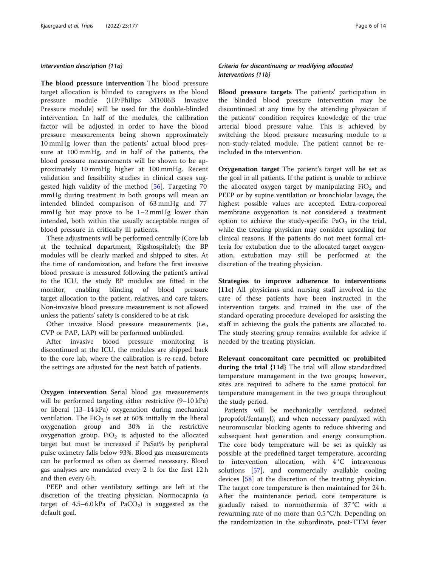#### Intervention description {11a}

The blood pressure intervention The blood pressure target allocation is blinded to caregivers as the blood pressure module (HP/Philips M1006B Invasive Pressure module) will be used for the double-blinded intervention. In half of the modules, the calibration factor will be adjusted in order to have the blood pressure measurements being shown approximately 10 mmHg lower than the patients' actual blood pressure at 100 mmHg, and in half of the patients, the blood pressure measurements will be shown to be approximately 10 mmHg higher at 100 mmHg. Recent validation and feasibility studies in clinical cases suggested high validity of the method [[56](#page-13-0)]. Targeting 70 mmHg during treatment in both groups will mean an intended blinded comparison of 63 mmHg and 77 mmHg but may prove to be 1-2 mmHg lower than intended, both within the usually acceptable ranges of blood pressure in critically ill patients.

These adjustments will be performed centrally (Core lab at the technical department, Rigshospitalet); the BP modules will be clearly marked and shipped to sites. At the time of randomization, and before the first invasive blood pressure is measured following the patient's arrival to the ICU, the study BP modules are fitted in the monitor, enabling blinding of blood pressure target allocation to the patient, relatives, and care takers. Non-invasive blood pressure measurement is not allowed unless the patients' safety is considered to be at risk.

Other invasive blood pressure measurements (i.e., CVP or PAP, LAP) will be performed unblinded.

After invasive blood pressure monitoring is discontinued at the ICU, the modules are shipped back to the core lab, where the calibration is re-read, before the settings are adjusted for the next batch of patients.

Oxygen intervention Serial blood gas measurements will be performed targeting either restrictive (9–10 kPa) or liberal (13–14 kPa) oxygenation during mechanical ventilation. The  $FiO<sub>2</sub>$  is set at 60% initially in the liberal oxygenation group and 30% in the restrictive oxygenation group. FiO<sub>2</sub> is adjusted to the allocated target but must be increased if PaSat% by peripheral pulse oximetry falls below 93%. Blood gas measurements can be performed as often as deemed necessary. Blood gas analyses are mandated every 2 h for the first 12 h and then every 6 h.

PEEP and other ventilatory settings are left at the discretion of the treating physician. Normocapnia (a target of  $4.5-6.0$  kPa of PaCO<sub>2</sub>) is suggested as the default goal.

# Criteria for discontinuing or modifying allocated interventions {11b}

Blood pressure targets The patients' participation in the blinded blood pressure intervention may be discontinued at any time by the attending physician if the patients' condition requires knowledge of the true arterial blood pressure value. This is achieved by switching the blood pressure measuring module to a non-study-related module. The patient cannot be reincluded in the intervention.

Oxygenation target The patient's target will be set as the goal in all patients. If the patient is unable to achieve the allocated oxygen target by manipulating  $FiO<sub>2</sub>$  and PEEP or by supine ventilation or bronchiolar lavage, the highest possible values are accepted. Extra-corporeal membrane oxygenation is not considered a treatment option to achieve the study-specific  $PaO<sub>2</sub>$  in the trial, while the treating physician may consider upscaling for clinical reasons. If the patients do not meet formal criteria for extubation due to the allocated target oxygenation, extubation may still be performed at the discretion of the treating physician.

Strategies to improve adherence to interventions {11c} All physicians and nursing staff involved in the care of these patients have been instructed in the intervention targets and trained in the use of the standard operating procedure developed for assisting the staff in achieving the goals the patients are allocated to. The study steering group remains available for advice if needed by the treating physician.

Relevant concomitant care permitted or prohibited during the trial {11d} The trial will allow standardized temperature management in the two groups; however, sites are required to adhere to the same protocol for temperature management in the two groups throughout the study period.

Patients will be mechanically ventilated, sedated (propofol/fentanyl), and when necessary paralyzed with neuromuscular blocking agents to reduce shivering and subsequent heat generation and energy consumption. The core body temperature will be set as quickly as possible at the predefined target temperature, according to intervention allocation, with  $4^{\circ}$ C intravenous solutions [[57](#page-13-0)], and commercially available cooling devices [[58](#page-13-0)] at the discretion of the treating physician. The target core temperature is then maintained for 24 h. After the maintenance period, core temperature is gradually raised to normothermia of 37 °C with a rewarming rate of no more than 0.5 °C/h. Depending on the randomization in the subordinate, post-TTM fever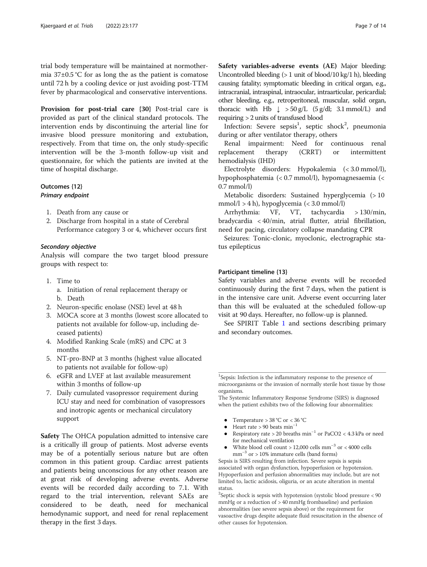trial body temperature will be maintained at normothermia 37±0.5 °C for as long the as the patient is comatose until 72 h by a cooling device or just avoiding post-TTM fever by pharmacological and conservative interventions.

Provision for post-trial care {30} Post-trial care is provided as part of the clinical standard protocols. The intervention ends by discontinuing the arterial line for invasive blood pressure monitoring and extubation, respectively. From that time on, the only study-specific intervention will be the 3-month follow-up visit and questionnaire, for which the patients are invited at the time of hospital discharge.

# Outcomes {12}

# Primary endpoint

- 1. Death from any cause or
- 2. Discharge from hospital in a state of Cerebral Performance category 3 or 4, whichever occurs first

#### Secondary objective

Analysis will compare the two target blood pressure groups with respect to:

- 1. Time to
	- a. Initiation of renal replacement therapy or b. Death
- 2. Neuron-specific enolase (NSE) level at 48 h
- 3. MOCA score at 3 months (lowest score allocated to patients not available for follow-up, including deceased patients)
- 4. Modified Ranking Scale (mRS) and CPC at 3 months
- 5. NT-pro-BNP at 3 months (highest value allocated to patients not available for follow-up)
- 6. eGFR and LVEF at last available measurement within 3 months of follow-up
- 7. Daily cumulated vasopressor requirement during ICU stay and need for combination of vasopressors and inotropic agents or mechanical circulatory support

Safety The OHCA population admitted to intensive care is a critically ill group of patients. Most adverse events may be of a potentially serious nature but are often common in this patient group. Cardiac arrest patients and patients being unconscious for any other reason are at great risk of developing adverse events. Adverse events will be recorded daily according to 7.1. With regard to the trial intervention, relevant SAEs are considered to be death, need for mechanical hemodynamic support, and need for renal replacement therapy in the first 3 days.

Safety variables-adverse events (AE) Major bleeding: Uncontrolled bleeding (> 1 unit of blood/10 kg/1 h), bleeding causing fatality; symptomatic bleeding in critical organ, e.g., intracranial, intraspinal, intraocular, intraarticular, pericardial; other bleeding, e.g., retroperitoneal, muscular, solid organ, thoracic with Hb  $\downarrow$  > 50 g/L (5 g/dl; 3.1 mmol/L) and requiring > 2 units of transfused blood

Infection: Severe sepsis<sup>1</sup>, septic shock<sup>2</sup>, pneumonia during or after ventilator therapy, others

Renal impairment: Need for continuous renal replacement therapy (CRRT) or intermittent hemodialysis (IHD)

Electrolyte disorders: Hypokalemia (< 3.0 mmol/l), hypophosphatemia (< 0.7 mmol/l), hypomagnesaemia (< 0.7 mmol/l)

Metabolic disorders: Sustained hyperglycemia (> 10 mmol/l  $> 4 h$ ), hypoglycemia (< 3.0 mmol/l)

Arrhythmia: VF, VT, tachycardia > 130/min, bradycardia < 40/min, atrial flutter, atrial fibrillation, need for pacing, circulatory collapse mandating CPR

Seizures: Tonic-clonic, myoclonic, electrographic status epilepticus

# Participant timeline {13}

Safety variables and adverse events will be recorded continuously during the first 7 days, when the patient is in the intensive care unit. Adverse event occurring later than this will be evaluated at the scheduled follow-up visit at 90 days. Hereafter, no follow-up is planned.

See SPIRIT Table [1](#page-7-0) and sections describing primary and secondary outcomes.

The Systemic Inflammatory Response Syndrome (SIRS) is diagnosed when the patient exhibits two of the following four abnormalities:

- Temperature  $> 38$  °C or  $< 36$  °C
- Heart rate > 90 beats  $min^{-1}$
- Respiratory rate > 20 breaths min−<sup>1</sup> or PaCO2 < 4.3 kPa or need for mechanical ventilation
- White blood cell count > 12,000 cells mm−<sup>3</sup> or < 4000 cells  $mm<sup>-3</sup>$  or > 10% immature cells (band forms)

Sepsis is SIRS resulting from infection. Severe sepsis is sepsis associated with organ dysfunction, hypoperfusion or hypotension. Hypoperfusion and perfusion abnormalities may include, but are not limited to, lactic acidosis, oliguria, or an acute alteration in mental status.

<sup>2</sup>Septic shock is sepsis with hypotension (systolic blood pressure < 90 mmHg or a reduction of > 40 mmHg frombaseline) and perfusion abnormalities (see severe sepsis above) or the requirement for vasoactive drugs despite adequate fluid resuscitation in the absence of other causes for hypotension.

<sup>&</sup>lt;sup>1</sup>Sepsis: Infection is the inflammatory response to the presence of microorganisms or the invasion of normally sterile host tissue by those organisms.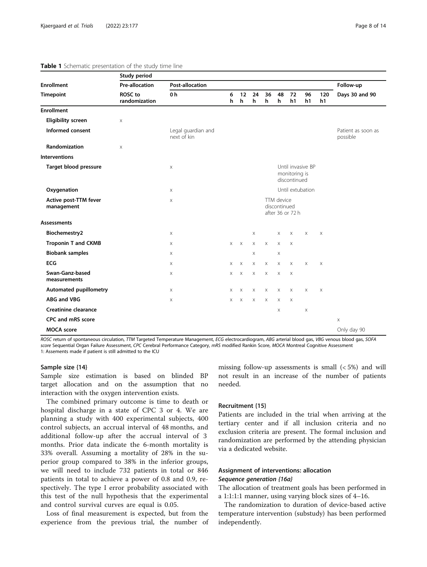|                                       | Study period                                             |                                   |          |                       |          |                                                |                           |                                                    |             |             |                                |
|---------------------------------------|----------------------------------------------------------|-----------------------------------|----------|-----------------------|----------|------------------------------------------------|---------------------------|----------------------------------------------------|-------------|-------------|--------------------------------|
| <b>Enrollment</b><br><b>Timepoint</b> | <b>Pre-allocation</b><br><b>ROSC</b> to<br>randomization | <b>Post-allocation</b>            |          |                       |          |                                                |                           |                                                    |             |             | Follow-up                      |
|                                       |                                                          | 0 h                               | 6<br>h   | 12<br>h               | 24<br>h  | 36<br>h                                        | 48<br>h                   | 72<br>h1                                           | 96<br>h1    | 120<br>h1   | Days 30 and 90                 |
| <b>Enrollment</b>                     |                                                          |                                   |          |                       |          |                                                |                           |                                                    |             |             |                                |
| <b>Eligibility screen</b>             | $\times$                                                 |                                   |          |                       |          |                                                |                           |                                                    |             |             |                                |
| Informed consent                      |                                                          | Legal guardian and<br>next of kin |          |                       |          |                                                |                           |                                                    |             |             | Patient as soon as<br>possible |
| Randomization                         | $\mathsf X$                                              |                                   |          |                       |          |                                                |                           |                                                    |             |             |                                |
| <b>Interventions</b>                  |                                                          |                                   |          |                       |          |                                                |                           |                                                    |             |             |                                |
| Target blood pressure                 |                                                          | X                                 |          |                       |          |                                                |                           | Until invasive BP<br>monitoring is<br>discontinued |             |             |                                |
| Oxygenation                           |                                                          | X                                 |          |                       |          |                                                | Until extubation          |                                                    |             |             |                                |
| Active post-TTM fever<br>management   |                                                          | X                                 |          |                       |          | TTM device<br>discontinued<br>after 36 or 72 h |                           |                                                    |             |             |                                |
| <b>Assessments</b>                    |                                                          |                                   |          |                       |          |                                                |                           |                                                    |             |             |                                |
| Biochemestry2                         |                                                          | X                                 |          |                       | X        |                                                | $\mathsf X$               | $\times$                                           | $\times$    | $\mathsf X$ |                                |
| <b>Troponin T and CKMB</b>            |                                                          | X                                 | $\times$ | $\mathsf{X}$          | $\times$ | $\times$                                       | $\times$                  | $\times$                                           |             |             |                                |
| <b>Biobank samples</b>                |                                                          | X                                 |          |                       | X        |                                                | $\boldsymbol{\mathsf{X}}$ |                                                    |             |             |                                |
| <b>ECG</b>                            |                                                          | X                                 | $\times$ | $\times$              | $\times$ | $\times$                                       | $\times$                  | $\times$                                           | $\times$    | $\mathsf X$ |                                |
| Swan-Ganz-based<br>measurements       |                                                          | X                                 | $\times$ | $\boldsymbol{\times}$ | X        | $\boldsymbol{\times}$                          | X                         | $\boldsymbol{\times}$                              |             |             |                                |
| <b>Automated pupillometry</b>         |                                                          | Χ                                 | X        | $\times$              | $\times$ | $\times$                                       | X                         | $\times$                                           | $\mathsf X$ | X           |                                |
| ABG and VBG                           |                                                          | X                                 | $\times$ | $\times$              | X        | $\times$                                       | $\times$                  | $\times$                                           |             |             |                                |
| Creatinine clearance                  |                                                          |                                   |          |                       |          |                                                | $\boldsymbol{\times}$     |                                                    | $\mathsf X$ |             |                                |
| CPC and mRS score                     |                                                          |                                   |          |                       |          |                                                |                           |                                                    |             |             | $\mathsf X$                    |
| <b>MOCA</b> score                     |                                                          |                                   |          |                       |          |                                                |                           |                                                    |             |             | Only day 90                    |

#### <span id="page-7-0"></span>Table 1 Schematic presentation of the study time line

ROSC return of spontaneous circulation, TTM Targeted Temperature Management, ECG electrocardiogram, ABG arterial blood gas, VBG venous blood gas, SOFA score Sequential Organ Failure Assessment, CPC Cerebral Performance Category, mRS modified Rankin Score, MOCA Montreal Cognitive Assessment 1: Assements made if patient is still admitted to the ICU

#### Sample size {14}

Sample size estimation is based on blinded BP target allocation and on the assumption that no interaction with the oxygen intervention exists.

The combined primary outcome is time to death or hospital discharge in a state of CPC 3 or 4. We are planning a study with 400 experimental subjects, 400 control subjects, an accrual interval of 48 months, and additional follow-up after the accrual interval of 3 months. Prior data indicate the 6-month mortality is 33% overall. Assuming a mortality of 28% in the superior group compared to 38% in the inferior groups, we will need to include 732 patients in total or 846 patients in total to achieve a power of 0.8 and 0.9, respectively. The type I error probability associated with this test of the null hypothesis that the experimental and control survival curves are equal is 0.05.

Loss of final measurement is expected, but from the experience from the previous trial, the number of

missing follow-up assessments is small  $(< 5\%)$  and will not result in an increase of the number of patients needed.

# Recruitment {15}

Patients are included in the trial when arriving at the tertiary center and if all inclusion criteria and no exclusion criteria are present. The formal inclusion and randomization are performed by the attending physician via a dedicated website.

# Assignment of interventions: allocation Sequence generation {16a}

The allocation of treatment goals has been performed in a 1:1:1:1 manner, using varying block sizes of 4–16.

The randomization to duration of device-based active temperature intervention (substudy) has been performed independently.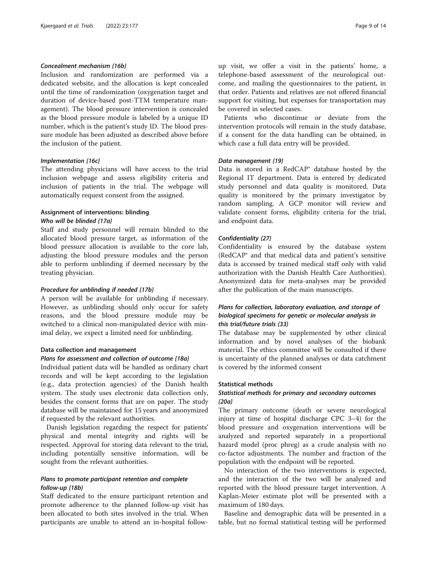# Concealment mechanism {16b}

Inclusion and randomization are performed via a dedicated website, and the allocation is kept concealed until the time of randomization (oxygenation target and duration of device-based post-TTM temperature management). The blood pressure intervention is concealed as the blood pressure module is labeled by a unique ID number, which is the patient's study ID. The blood pressure module has been adjusted as described above before the inclusion of the patient.

# Implementation {16c}

The attending physicians will have access to the trial inclusion webpage and assess eligibility criteria and inclusion of patients in the trial. The webpage will automatically request consent from the assigned.

# Assignment of interventions: blinding Who will be blinded {17a}

Staff and study personnel will remain blinded to the allocated blood pressure target, as information of the blood pressure allocation is available to the core lab, adjusting the blood pressure modules and the person able to perform unblinding if deemed necessary by the treating physician.

#### Procedure for unblinding if needed {17b}

A person will be available for unblinding if necessary. However, as unblinding should only occur for safety reasons, and the blood pressure module may be switched to a clinical non-manipulated device with minimal delay, we expect a limited need for unblinding.

#### Data collection and management

#### Plans for assessment and collection of outcome {18a}

Individual patient data will be handled as ordinary chart records and will be kept according to the legislation (e.g., data protection agencies) of the Danish health system. The study uses electronic data collection only, besides the consent forms that are on paper. The study database will be maintained for 15 years and anonymized if requested by the relevant authorities.

Danish legislation regarding the respect for patients' physical and mental integrity and rights will be respected. Approval for storing data relevant to the trial, including potentially sensitive information, will be sought from the relevant authorities.

# Plans to promote participant retention and complete follow-up {18b}

Staff dedicated to the ensure participant retention and promote adherence to the planned follow-up visit has been allocated to both sites involved in the trial. When participants are unable to attend an in-hospital follow-

up visit, we offer a visit in the patients' home, a telephone-based assessment of the neurological outcome, and mailing the questionnaires to the patient, in that order. Patients and relatives are not offered financial support for visiting, but expenses for transportation may be covered in selected cases.

Patients who discontinue or deviate from the intervention protocols will remain in the study database, if a consent for the data handling can be obtained, in which case a full data entry will be provided.

# Data management {19}

Data is stored in a RedCAP® database hosted by the Regional IT department. Data is entered by dedicated study personnel and data quality is monitored. Data quality is monitored by the primary investigator by random sampling. A GCP monitor will review and validate consent forms, eligibility criteria for the trial, and endpoint data.

# Confidentiality {27}

Confidentiality is ensured by the database system (RedCAP® and that medical data and patient's sensitive data is accessed by trained medical staff only with valid authorization with the Danish Health Care Authorities). Anonymized data for meta-analyses may be provided after the publication of the main manuscripts.

# Plans for collection, laboratory evaluation, and storage of biological specimens for genetic or molecular analysis in this trial/future trials {33}

The database may be supplemented by other clinical information and by novel analyses of the biobank material. The ethics committee will be consulted if there is uncertainty of the planned analyses or data catchment is covered by the informed consent

# Statistical methods

# Statistical methods for primary and secondary outcomes {20a}

The primary outcome (death or severe neurological injury at time of hospital discharge CPC 3–4) for the blood pressure and oxygenation interventions will be analyzed and reported separately in a proportional hazard model (proc phreg) as a crude analysis with no co-factor adjustments. The number and fraction of the population with the endpoint will be reported.

No interaction of the two interventions is expected, and the interaction of the two will be analyzed and reported with the blood pressure target intervention. A Kaplan-Meier estimate plot will be presented with a maximum of 180 days.

Baseline and demographic data will be presented in a table, but no formal statistical testing will be performed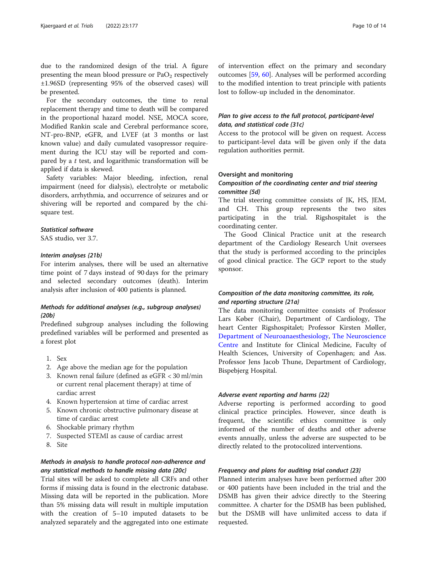due to the randomized design of the trial. A figure presenting the mean blood pressure or  $PaO<sub>2</sub>$  respectively ±1.96SD (representing 95% of the observed cases) will be presented.

For the secondary outcomes, the time to renal replacement therapy and time to death will be compared in the proportional hazard model. NSE, MOCA score, Modified Rankin scale and Cerebral performance score, NT-pro-BNP, eGFR, and LVEF (at 3 months or last known value) and daily cumulated vasopressor requirement during the ICU stay will be reported and compared by a  $t$  test, and logarithmic transformation will be applied if data is skewed.

Safety variables: Major bleeding, infection, renal impairment (need for dialysis), electrolyte or metabolic disorders, arrhythmia, and occurrence of seizures and or shivering will be reported and compared by the chisquare test.

# Statistical software

SAS studio, ver 3.7.

#### Interim analyses {21b}

For interim analyses, there will be used an alternative time point of 7 days instead of 90 days for the primary and selected secondary outcomes (death). Interim analysis after inclusion of 400 patients is planned.

# Methods for additional analyses (e.g., subgroup analyses) {20b}

Predefined subgroup analyses including the following predefined variables will be performed and presented as a forest plot

- 1. Sex
- 2. Age above the median age for the population
- 3. Known renal failure (defined as eGFR < 30 ml/min or current renal placement therapy) at time of cardiac arrest
- 4. Known hypertension at time of cardiac arrest
- 5. Known chronic obstructive pulmonary disease at time of cardiac arrest
- 6. Shockable primary rhythm
- 7. Suspected STEMI as cause of cardiac arrest
- 8. Site

# Methods in analysis to handle protocol non-adherence and any statistical methods to handle missing data {20c}

Trial sites will be asked to complete all CRFs and other forms if missing data is found in the electronic database. Missing data will be reported in the publication. More than 5% missing data will result in multiple imputation with the creation of 5–10 imputed datasets to be analyzed separately and the aggregated into one estimate

of intervention effect on the primary and secondary outcomes [\[59](#page-13-0), [60](#page-13-0)]. Analyses will be performed according to the modified intention to treat principle with patients lost to follow-up included in the denominator.

# Plan to give access to the full protocol, participant-level data, and statistical code {31c}

Access to the protocol will be given on request. Access to participant-level data will be given only if the data regulation authorities permit.

#### Oversight and monitoring

# Composition of the coordinating center and trial steering committee {5d}

The trial steering committee consists of JK, HS, JEM, and CH. This group represents the two sites participating in the trial. Rigshospitalet is the coordinating center.

The Good Clinical Practice unit at the research department of the Cardiology Research Unit oversees that the study is performed according to the principles of good clinical practice. The GCP report to the study sponsor.

# Composition of the data monitoring committee, its role, and reporting structure {21a}

The data monitoring committee consists of Professor Lars Køber (Chair), Department of Cardiology, The heart Center Rigshospitalet; Professor Kirsten Møller, [Department of Neuroanaesthesiology](https://www.rigshospitalet.dk/english/departments/neuroscience-centre/department-of-neuroanaesthesiology/Pages/default.aspx), [The Neuroscience](https://www.rigshospitalet.dk/english/departments/neuroscience-centre/Pages/default.aspx) [Centre](https://www.rigshospitalet.dk/english/departments/neuroscience-centre/Pages/default.aspx) and Institute for Clinical Medicine, Faculty of Health Sciences, University of Copenhagen; and Ass. Professor Jens Jacob Thune, Department of Cardiology, Bispebjerg Hospital.

# Adverse event reporting and harms {22}

Adverse reporting is performed according to good clinical practice principles. However, since death is frequent, the scientific ethics committee is only informed of the number of deaths and other adverse events annually, unless the adverse are suspected to be directly related to the protocolized interventions.

#### Frequency and plans for auditing trial conduct {23}

Planned interim analyses have been performed after 200 or 400 patients have been included in the trial and the DSMB has given their advice directly to the Steering committee. A charter for the DSMB has been published, but the DSMB will have unlimited access to data if requested.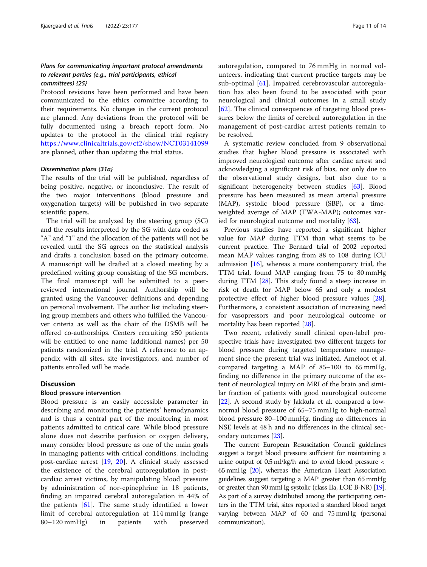# Plans for communicating important protocol amendments to relevant parties (e.g., trial participants, ethical committees) {25}

Protocol revisions have been performed and have been communicated to the ethics committee according to their requirements. No changes in the current protocol are planned. Any deviations from the protocol will be fully documented using a breach report form. No updates to the protocol in the clinical trial registry <https://www.clinicaltrials.gov/ct2/show/NCT03141099> are planned, other than updating the trial status.

#### Dissemination plans {31a}

The results of the trial will be published, regardless of being positive, negative, or inconclusive. The result of the two major interventions (blood pressure and oxygenation targets) will be published in two separate scientific papers.

The trial will be analyzed by the steering group (SG) and the results interpreted by the SG with data coded as "A" and "1" and the allocation of the patients will not be revealed until the SG agrees on the statistical analysis and drafts a conclusion based on the primary outcome. A manuscript will be drafted at a closed meeting by a predefined writing group consisting of the SG members. The final manuscript will be submitted to a peerreviewed international journal. Authorship will be granted using the Vancouver definitions and depending on personal involvement. The author list including steering group members and others who fulfilled the Vancouver criteria as well as the chair of the DSMB will be offered co-authorships. Centers recruiting ≥50 patients will be entitled to one name (additional names) per 50 patients randomized in the trial. A reference to an appendix with all sites, site investigators, and number of patients enrolled will be made.

# **Discussion**

#### Blood pressure intervention

Blood pressure is an easily accessible parameter in describing and monitoring the patients' hemodynamics and is thus a central part of the monitoring in most patients admitted to critical care. While blood pressure alone does not describe perfusion or oxygen delivery, many consider blood pressure as one of the main goals in managing patients with critical conditions, including post-cardiac arrest [[19,](#page-12-0) [20\]](#page-12-0). A clinical study assessed the existence of the cerebral autoregulation in postcardiac arrest victims, by manipulating blood pressure by administration of nor-epinephrine in 18 patients, finding an impaired cerebral autoregulation in 44% of the patients [[61\]](#page-13-0). The same study identified a lower limit of cerebral autoregulation at 114 mmHg (range 80–120 mmHg) in patients with preserved autoregulation, compared to 76 mmHg in normal volunteers, indicating that current practice targets may be sub-optimal [[61\]](#page-13-0). Impaired cerebrovascular autoregulation has also been found to be associated with poor neurological and clinical outcomes in a small study [[62\]](#page-13-0). The clinical consequences of targeting blood pressures below the limits of cerebral autoregulation in the management of post-cardiac arrest patients remain to be resolved.

A systematic review concluded from 9 observational studies that higher blood pressure is associated with improved neurological outcome after cardiac arrest and acknowledging a significant risk of bias, not only due to the observational study designs, but also due to a significant heterogeneity between studies [\[63\]](#page-13-0). Blood pressure has been measured as mean arterial pressure (MAP), systolic blood pressure (SBP), or a timeweighted average of MAP (TWA-MAP); outcomes varied for neurological outcome and mortality [[63](#page-13-0)].

Previous studies have reported a significant higher value for MAP during TTM than what seems to be current practice. The Bernard trial of 2002 reported mean MAP values ranging from 88 to 108 during ICU admission  $[16]$  $[16]$ , whereas a more contemporary trial, the TTM trial, found MAP ranging from 75 to 80 mmHg during TTM [[28\]](#page-12-0). This study found a steep increase in risk of death for MAP below 65 and only a modest protective effect of higher blood pressure values [\[28](#page-12-0)]. Furthermore, a consistent association of increasing need for vasopressors and poor neurological outcome or mortality has been reported [[28](#page-12-0)].

Two recent, relatively small clinical open-label prospective trials have investigated two different targets for blood pressure during targeted temperature management since the present trial was initiated. Ameloot et al. compared targeting a MAP of 85–100 to 65 mmHg, finding no difference in the primary outcome of the extent of neurological injury on MRI of the brain and similar fraction of patients with good neurological outcome [[22\]](#page-12-0). A second study by Jakkula et al. compared a lownormal blood pressure of 65–75 mmHg to high-normal blood pressure 80–100 mmHg, finding no differences in NSE levels at 48 h and no differences in the clinical secondary outcomes [\[23](#page-12-0)].

The current European Resuscitation Council guidelines suggest a target blood pressure sufficient for maintaining a urine output of 0.5 ml/kg/h and to avoid blood pressure < 65 mmHg [[20\]](#page-12-0), whereas the American Heart Association guidelines suggest targeting a MAP greater than 65 mmHg or greater than 90 mmHg systolic (class IIa, LOE B-NR) [\[19\]](#page-12-0). As part of a survey distributed among the participating centers in the TTM trial, sites reported a standard blood target varying between MAP of 60 and 75 mmHg (personal communication).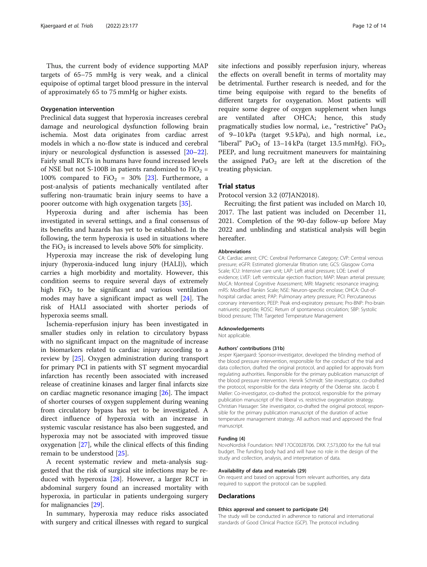Thus, the current body of evidence supporting MAP targets of 65–75 mmHg is very weak, and a clinical equipoise of optimal target blood pressure in the interval of approximately 65 to 75 mmHg or higher exists.

#### Oxygenation intervention

Preclinical data suggest that hyperoxia increases cerebral damage and neurological dysfunction following brain ischemia. Most data originates from cardiac arrest models in which a no-flow state is induced and cerebral injury or neurological dysfunction is assessed [[20](#page-12-0)–[22](#page-12-0)]. Fairly small RCTs in humans have found increased levels of NSE but not S-100B in patients randomized to  $FiO<sub>2</sub> =$ 100% compared to  $FiO<sub>2</sub> = 30% [23]$  $FiO<sub>2</sub> = 30% [23]$  $FiO<sub>2</sub> = 30% [23]$ . Furthermore, a post-analysis of patients mechanically ventilated after suffering non-traumatic brain injury seems to have a poorer outcome with high oxygenation targets [[35\]](#page-13-0).

Hyperoxia during and after ischemia has been investigated in several settings, and a final consensus of its benefits and hazards has yet to be established. In the following, the term hyperoxia is used in situations where the FiO<sub>2</sub> is increased to levels above 50% for simplicity.

Hyperoxia may increase the risk of developing lung injury (hyperoxia-induced lung injury (HALI)), which carries a high morbidity and mortality. However, this condition seems to require several days of extremely high  $FiO<sub>2</sub>$  to be significant and various ventilation modes may have a significant impact as well [[24\]](#page-12-0). The risk of HALI associated with shorter periods of hyperoxia seems small.

Ischemia-reperfusion injury has been investigated in smaller studies only in relation to circulatory bypass with no significant impact on the magnitude of increase in biomarkers related to cardiac injury according to a review by [[25\]](#page-12-0). Oxygen administration during transport for primary PCI in patients with ST segment myocardial infarction has recently been associated with increased release of creatinine kinases and larger final infarcts size on cardiac magnetic resonance imaging [\[26](#page-12-0)]. The impact of shorter courses of oxygen supplement during weaning from circulatory bypass has yet to be investigated. A direct influence of hyperoxia with an increase in systemic vascular resistance has also been suggested, and hyperoxia may not be associated with improved tissue oxygenation [[27](#page-12-0)], while the clinical effects of this finding remain to be understood [\[25](#page-12-0)].

A recent systematic review and meta-analysis suggested that the risk of surgical site infections may be reduced with hyperoxia [\[28\]](#page-12-0). However, a larger RCT in abdominal surgery found an increased mortality with hyperoxia, in particular in patients undergoing surgery for malignancies [\[29\]](#page-13-0).

In summary, hyperoxia may reduce risks associated with surgery and critical illnesses with regard to surgical

site infections and possibly reperfusion injury, whereas the effects on overall benefit in terms of mortality may be detrimental. Further research is needed, and for the time being equipoise with regard to the benefits of different targets for oxygenation. Most patients will require some degree of oxygen supplement when lungs are ventilated after OHCA; hence, this study pragmatically studies low normal, i.e., "restrictive"  $PaO<sub>2</sub>$ of 9–10 kPa (target 9.5 kPa), and high normal, i.e., "liberal" PaO<sub>2</sub> of 13–14 kPa (target 13.5 mmHg). FiO<sub>2</sub>, PEEP, and lung recruitment maneuvers for maintaining the assigned  $PaO<sub>2</sub>$  are left at the discretion of the treating physician.

## Trial status

Protocol version 3.2 (07JAN2018).

Recruiting; the first patient was included on March 10, 2017. The last patient was included on December 11, 2021. Completion of the 90-day follow-up before May 2022 and unblinding and statistical analysis will begin hereafter.

#### Abbreviations

CA: Cardiac arrest; CPC: Cerebral Performance Category; CVP: Central venous pressure; eGFR: Estimated glomerular filtration rate; GCS: Glasgow Coma Scale; ICU: Intensive care unit; LAP: Left atrial pressure; LOE: Level of evidence; LVEF: Left ventricular ejection fraction; MAP: Mean arterial pressure; MoCA: Montreal Cognitive Assessment; MRI: Magnetic resonance imaging; mRS: Modified Rankin Scale; NSE: Neuron-specific enolase; OHCA: Out-ofhospital cardiac arrest; PAP: Pulmonary artery pressure; PCI: Percutaneous coronary intervention; PEEP: Peak end-expiratory pressure; Pro-BNP: Pro-brain natriuretic peptide; ROSC: Return of spontaneous circulation; SBP: Systolic blood pressure; TTM: Targeted Temperature Management

#### Acknowledgements

Not applicable.

#### Authors' contributions {31b}

Jesper Kjaergaard: Sponsor-investigator, developed the blinding method of the blood pressure intervention, responsible for the conduct of the trial and data collection, drafted the original protocol, and applied for approvals from regulating authorities. Responsible for the primary publication manuscript of the blood pressure intervention. Henrik Schmidt: Site investigator, co-drafted the protocol, responsible for the data integrity of the Odense site. Jacob E Møller: Co-investigator, co-drafted the protocol, responsible for the primary publication manuscript of the liberal vs. restrictive oxygenation strategy. Christian Hassager: Site investigator, co-drafted the original protocol, responsible for the primary publication manuscript of the duration of active temperature management strategy. All authors read and approved the final manuscript.

#### Funding {4}

NovoNordisk Foundation: NNF17OC0028706. DKK 7,573,000 for the full trial budget. The funding body had and will have no role in the design of the study and collection, analysis, and interpretation of data.

#### Availability of data and materials {29}

On request and based on approval from relevant authorities, any data required to support the protocol can be supplied.

#### Declarations

#### Ethics approval and consent to participate {24}

The study will be conducted in adherence to national and international standards of Good Clinical Practice (GCP). The protocol including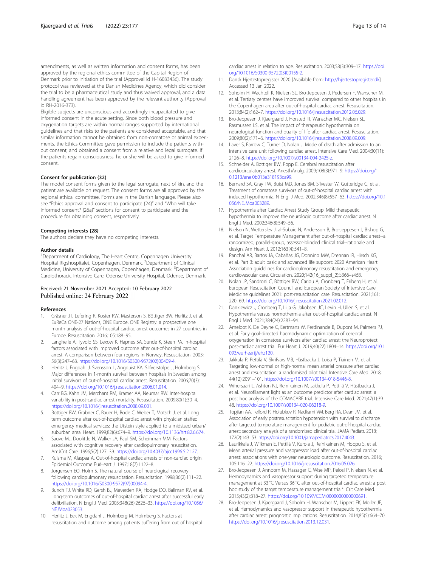<span id="page-12-0"></span>amendments, as well as written information and consent forms, has been approved by the regional ethics committee of the Capital Region of Denmark prior to initiation of the trial (Approval id H-16033436). The study protocol was reviewed at the Danish Medicines Agency, which did consider the trial to be a pharmaceutical study and thus waived approval, and a data handling agreement has been approved by the relevant authority (Approval id RH-2016-373).

Eligible subjects are unconscious and accordingly incapacitated to give informed consent in the acute setting. Since both blood pressure and oxygenation targets are within normal ranges supported by international guidelines and that risks to the patients are considered acceptable, and that similar information cannot be obtained from non-comatose or animal experiments, the Ethics Committee gave permission to include the patients without consent, and obtained a consent from a relative and legal surrogate. If the patients regain consciousness, he or she will be asked to give informed consent.

#### Consent for publication {32}

The model consent forms given to the legal surrogate, next of kin, and the patient are available on request. The consent forms are all approved by the regional ethical committee. Forms are in the Danish language. Please also see "Ethics approval and consent to participate {24}" and "Who will take informed consent? {26a}" sections for consent to participate and the procedure for obtaining consent, respectively.

#### Competing interests {28}

The authors declare they have no competing interests.

#### Author details

<sup>1</sup>Department of Cardiology, The Heart Centre, Copenhagen University Hospital Rigshospitalet, Copenhagen, Denmark. <sup>2</sup> Department of Clinical Medicine, University of Copenhagen, Copenhagen, Denmark. <sup>3</sup>Department of Cardiothoracic Intensive Care, Odense University Hospital, Odense, Denmark.

#### Received: 21 November 2021 Accepted: 10 February 2022 Published online: 24 February 2022

#### References

- 1. Gräsner JT, Lefering R, Koster RW, Masterson S, Böttiger BW, Herlitz J, et al. EuReCa ONE-27 Nations, ONE Europe, ONE Registry: a prospective one month analysis of out-of-hospital cardiac arrest outcomes in 27 countries in Europe. Resuscitation. 2016;105:188–95.
- 2. Langhelle A, Tyvold SS, Lexow K, Hapnes SA, Sunde K, Steen PA. In-hospital factors associated with improved outcome after out-of-hospital cardiac arrest. A comparison between four regions in Norway. Resuscitation. 2003; 56(3):247–63. [https://doi.org/10.1016/S0300-9572\(02\)00409-4.](https://doi.org/10.1016/S0300-9572(02)00409-4)
- Herlitz J, Engdahl J, Svensson L, Angquist KA, Silfverstolpe J, Holmberg S. Major differences in 1-month survival between hospitals in Sweden among initial survivors of out-of-hospital cardiac arrest. Resuscitation. 2006;70(3): 404–9. [https://doi.org/10.1016/j.resuscitation.2006.01.014.](https://doi.org/10.1016/j.resuscitation.2006.01.014)
- 4. Carr BG, Kahn JM, Merchant RM, Kramer AA, Neumar RW. Inter-hospital variability in post-cardiac arrest mortality. Resuscitation. 2009;80(1):30–4. <https://doi.org/10.1016/j.resuscitation.2008.09.001>.
- 5. Bottiger BW, Grabner C, Bauer H, Bode C, Weber T, Motsch J, et al. Long term outcome after out-of-hospital cardiac arrest with physician staffed emergency medical services: the Utstein style applied to a midsized urban/ suburban area. Heart. 1999;82(6):674–9. <https://doi.org/10.1136/hrt.82.6.674>.
- 6. Sauve MJ, Doolittle N, Walker JA, Paul SM, Scheinman MM. Factors associated with cognitive recovery after cardiopulmonary resuscitation. AmJCrit Care. 1996;5(2):127–39. [https://doi.org/10.4037/ajcc1996.5.2.127.](https://doi.org/10.4037/ajcc1996.5.2.127)
- 7. Kuisma M, Alaspaa A. Out-of-hospital cardiac arrests of non-cardiac origin. Epidemiol Outcome EurHeart J. 1997;18(7):1122–8.
- 8. Jorgensen EO, Holm S. The natural course of neurological recovery following cardiopulmonary resuscitation. Resuscitation. 1998;36(2):111–22. [https://doi.org/10.1016/S0300-9572\(97\)00094-4.](https://doi.org/10.1016/S0300-9572(97)00094-4)
- 9. Bunch TJ, White RD, Gersh BJ, Meverden RA, Hodge DO, Ballman KV, et al. Long-term outcomes of out-of-hospital cardiac arrest after successful early defibrillation. N Engl J Med. 2003;348(26):2626–33. [https://doi.org/10.1056/](https://doi.org/10.1056/NEJMoa023053) [NEJMoa023053.](https://doi.org/10.1056/NEJMoa023053)
- 10. Herlitz J, Eek M, Engdahl J, Holmberg M, Holmberg S. Factors at resuscitation and outcome among patients suffering from out of hospital

cardiac arrest in relation to age. Resuscitation. 2003;58(3):309–17. [https://doi.](https://doi.org/10.1016/S0300-9572(03)00155-2) [org/10.1016/S0300-9572\(03\)00155-2.](https://doi.org/10.1016/S0300-9572(03)00155-2)

- 11. Dansk Hjertestopregister 2020 [Available from: <http://hjertestopregister.dk>]. Accessed 13 Jan 2022.
- 12. Soholm H, Wachtell K, Nielsen SL, Bro-Jeppesen J, Pedersen F, Wanscher M, et al. Tertiary centres have improved survival compared to other hospitals in the Copenhagen area after out-of-hospital cardiac arrest. Resuscitation. 2013;84(2):162–7. [https://doi.org/10.1016/j.resuscitation.2012.06.029.](https://doi.org/10.1016/j.resuscitation.2012.06.029)
- 13. Bro-Jeppesen J, Kjaergaard J, Horsted TI, Wanscher MC, Nielsen SL, Rasmussen LS, et al. The impact of therapeutic hypothermia on neurological function and quality of life after cardiac arrest. Resuscitation. 2009;80(2):171–6. [https://doi.org/10.1016/j.resuscitation.2008.09.009.](https://doi.org/10.1016/j.resuscitation.2008.09.009)
- 14. Laver S, Farrow C, Turner D, Nolan J. Mode of death after admission to an intensive care unit following cardiac arrest. Intensive Care Med. 2004;30(11): 2126–8. <https://doi.org/10.1007/s00134-004-2425-z>.
- 15. Schneider A, Bottiger BW, Popp E. Cerebral resuscitation after cardiocirculatory arrest. AnesthAnalg. 2009;108(3):971–9. [https://doi.org/1](https://doi.org/10.1213/ane.0b013e318193ca99) [0.1213/ane.0b013e318193ca99.](https://doi.org/10.1213/ane.0b013e318193ca99)
- 16. Bernard SA, Gray TW, Buist MD, Jones BM, Silvester W, Gutteridge G, et al. Treatment of comatose survivors of out-of-hospital cardiac arrest with induced hypothermia. N Engl J Med. 2002;346(8):557–63. [https://doi.org/10.1](https://doi.org/10.1056/NEJMoa003289) [056/NEJMoa003289.](https://doi.org/10.1056/NEJMoa003289)
- 17. Hypothermia after Cardiac Arrest Study Group. Mild therapeutic hypothermia to improve the neurologic outcome after cardiac arrest. N Engl J Med. 2002;346(8):549–56.
- 18. Nielsen N, Wetterslev J, al-Subaie N, Andersson B, Bro-Jeppesen J, Bishop G, et al. Target Temperature Management after out-of-hospital cardiac arrest--a randomized, parallel-group, assessor-blinded clinical trial--rationale and design. Am Heart J. 2012;163(4):541–8.
- 19. Panchal AR, Bartos JA, Cabañas JG, Donnino MW, Drennan IR, Hirsch KG, et al. Part 3: adult basic and advanced life support: 2020 American Heart Association guidelines for cardiopulmonary resuscitation and emergency cardiovascular care. Circulation. 2020;142(16\_suppl\_2):S366–s468.
- 20. Nolan JP, Sandroni C, Böttiger BW, Cariou A, Cronberg T, Friberg H, et al. European Resuscitation Council and European Society of Intensive Care Medicine guidelines 2021: post-resuscitation care. Resuscitation. 2021;161: 220–69. <https://doi.org/10.1016/j.resuscitation.2021.02.012>.
- 21. Dankiewicz J, Cronberg T, Lilja G, Jakobsen JC, Levin H, Ullén S, et al. Hypothermia versus normothermia after out-of-hospital cardiac arrest. N Engl J Med. 2021;384(24):2283–94.
- 22. Ameloot K, De Deyne C, Eertmans W, Ferdinande B, Dupont M, Palmers PJ, et al. Early goal-directed haemodynamic optimization of cerebral oxygenation in comatose survivors after cardiac arrest: the Neuroprotect post-cardiac arrest trial. Eur Heart J. 2019;40(22):1804–14. [https://doi.org/10.1](https://doi.org/10.1093/eurheartj/ehz120) [093/eurheartj/ehz120](https://doi.org/10.1093/eurheartj/ehz120).
- 23. Jakkula P, Pettilä V, Skrifvars MB, Hästbacka J, Loisa P, Tiainen M, et al. Targeting low-normal or high-normal mean arterial pressure after cardiac arrest and resuscitation: a randomised pilot trial. Intensive Care Med. 2018; 44(12):2091–101. <https://doi.org/10.1007/s00134-018-5446-8>.
- 24. Wihersaari L, Ashton NJ, Reinikainen M, Jakkula P, Pettilä V, Hästbacka J, et al. Neurofilament light as an outcome predictor after cardiac arrest: a post hoc analysis of the COMACARE trial. Intensive Care Med. 2021;47(1):39– 48. [https://doi.org/10.1007/s00134-020-06218-9.](https://doi.org/10.1007/s00134-020-06218-9)
- 25. Topjian AA, Telford R, Holubkov R, Nadkarni VM, Berg RA, Dean JM, et al. Association of early postresuscitation hypotension with survival to discharge after targeted temperature management for pediatric out-of-hospital cardiac arrest: secondary analysis of a randomized clinical trial. JAMA Pediatr. 2018; 172(2):143–53. <https://doi.org/10.1001/jamapediatrics.2017.4043>.
- 26. Laurikkala J, Wilkman E, Pettilä V, Kurola J, Reinikainen M, Hoppu S, et al. Mean arterial pressure and vasopressor load after out-of-hospital cardiac arrest: associations with one-year neurologic outcome. Resuscitation. 2016; 105:116–22. [https://doi.org/10.1016/j.resuscitation.2016.05.026.](https://doi.org/10.1016/j.resuscitation.2016.05.026)
- 27. Bro-Jeppesen J, Annborn M, Hassager C, Wise MP, Pelosi P, Nielsen N, et al. Hemodynamics and vasopressor support during targeted temperature management at 33 °C Versus 36 °C after out-of-hospital cardiac arrest: a post hoc study of the target temperature management trial\*. Crit Care Med. 2015;43(2):318–27. <https://doi.org/10.1097/CCM.0000000000000691>.
- 28. Bro-Jeppesen J, Kjaergaard J, Soholm H, Wanscher M, Lippert FK, Moller JE, et al. Hemodynamics and vasopressor support in therapeutic hypothermia after cardiac arrest: prognostic implications. Resuscitation. 2014;85(5):664–70. <https://doi.org/10.1016/j.resuscitation.2013.12.031>.